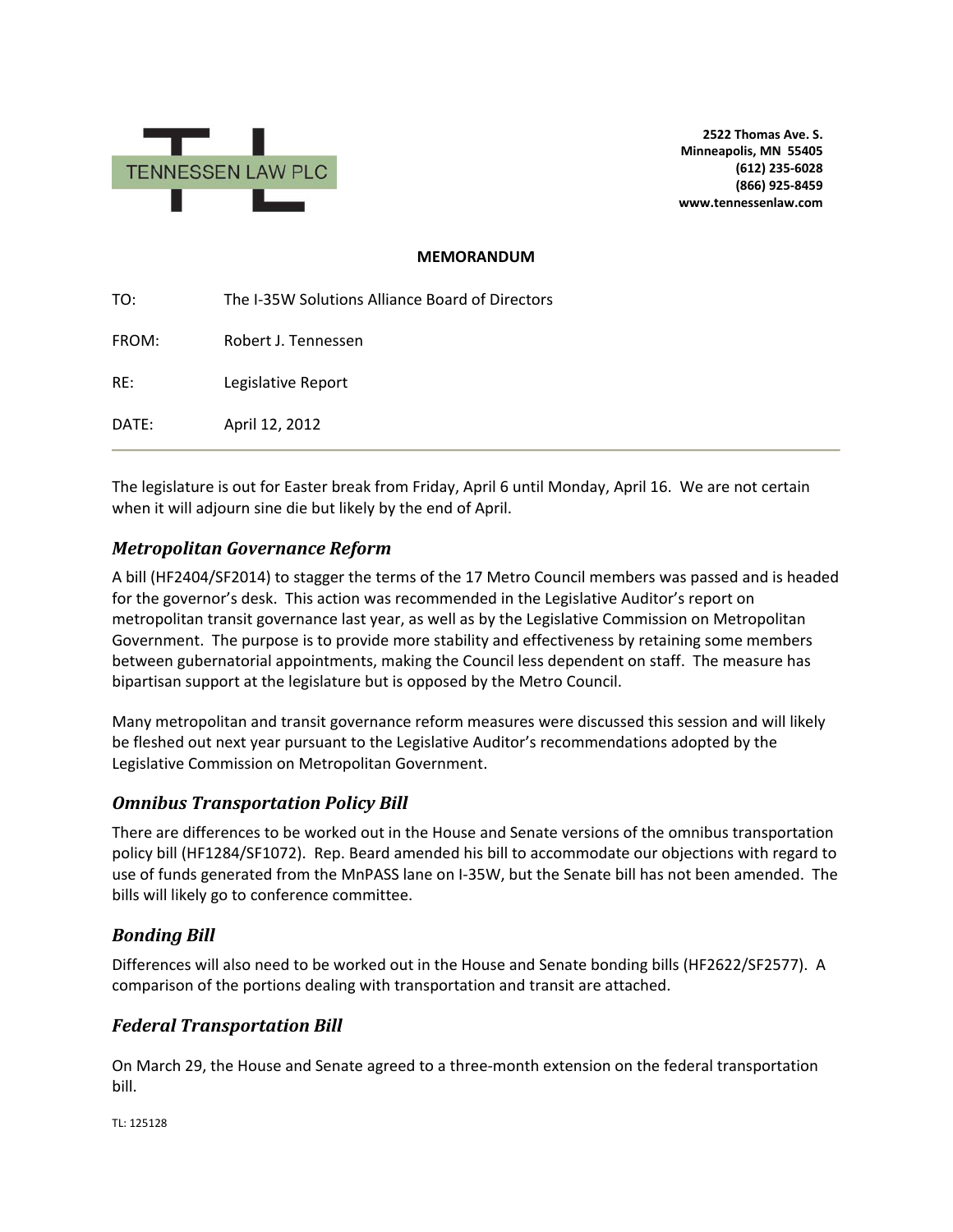

**2522 Thomas Ave. S. Minneapolis, MN 55405 (612) 235-6028 (866) 925-8459 www.tennessenlaw.com**

### **MEMORANDUM**

| TO:   | The I-35W Solutions Alliance Board of Directors |
|-------|-------------------------------------------------|
| FROM: | Robert J. Tennessen                             |
| RE:   | Legislative Report                              |
| DATE: | April 12, 2012                                  |

The legislature is out for Easter break from Friday, April 6 until Monday, April 16. We are not certain when it will adjourn sine die but likely by the end of April.

# *Metropolitan Governance Reform*

A bill (HF2404/SF2014) to stagger the terms of the 17 Metro Council members was passed and is headed for the governor's desk. This action was recommended in the Legislative Auditor's report on metropolitan transit governance last year, as well as by the Legislative Commission on Metropolitan Government. The purpose is to provide more stability and effectiveness by retaining some members between gubernatorial appointments, making the Council less dependent on staff. The measure has bipartisan support at the legislature but is opposed by the Metro Council.

Many metropolitan and transit governance reform measures were discussed this session and will likely be fleshed out next year pursuant to the Legislative Auditor's recommendations adopted by the Legislative Commission on Metropolitan Government.

## *Omnibus Transportation Policy Bill*

There are differences to be worked out in the House and Senate versions of the omnibus transportation policy bill (HF1284/SF1072). Rep. Beard amended his bill to accommodate our objections with regard to use of funds generated from the MnPASS lane on I-35W, but the Senate bill has not been amended. The bills will likely go to conference committee.

## *Bonding Bill*

Differences will also need to be worked out in the House and Senate bonding bills (HF2622/SF2577). A comparison of the portions dealing with transportation and transit are attached.

## *Federal Transportation Bill*

On March 29, the House and Senate agreed to a three-month extension on the federal transportation bill.